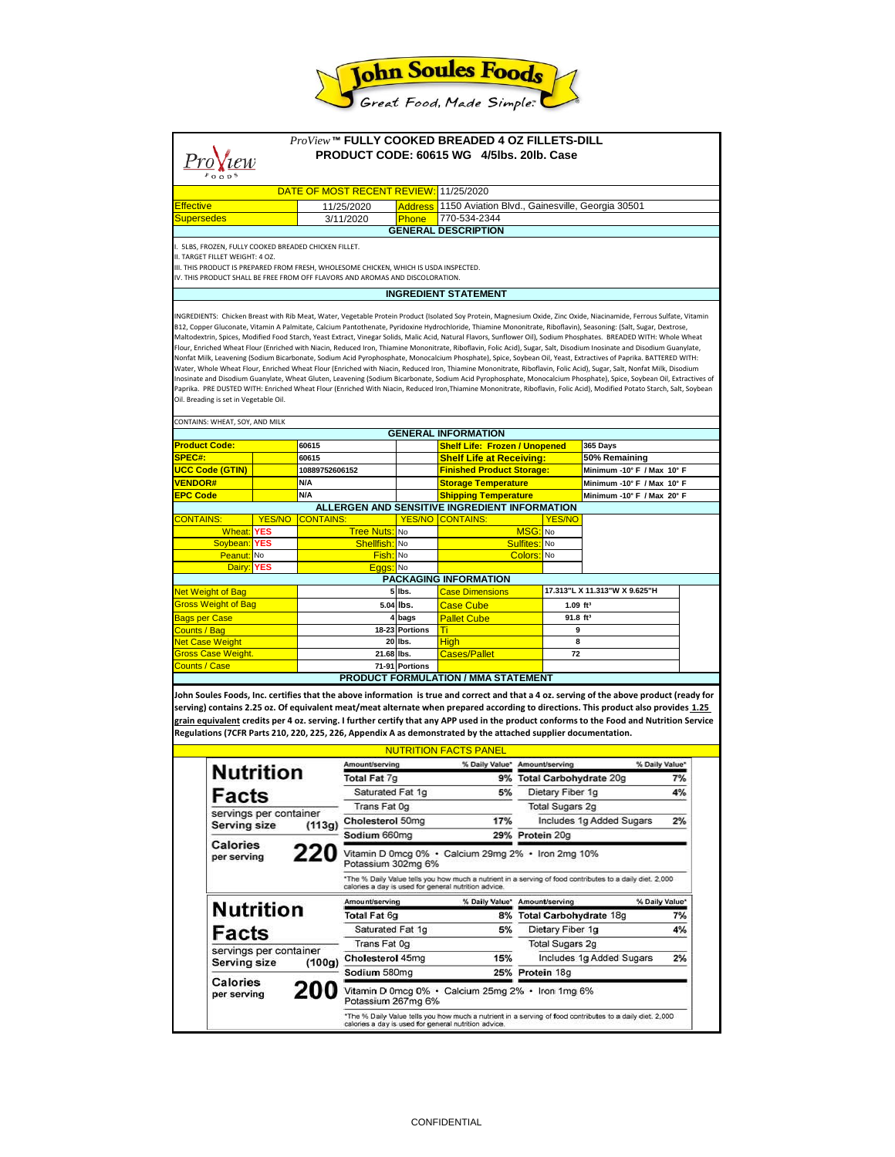

| ProView™ FULLY COOKED BREADED 4 OZ FILLETS-DILL<br>PRODUCT CODE: 60615 WG 4/5lbs, 20lb, Case                                                                                                                                                                                                                                                                                                                                                                                                                                                                                                                                                                                                                                                                                                                                                                                                                                                                                                                                                                                                                                                                                                                                                                                                                                                                                                                                            |                                                     |                                       |                                |                                                                                                                                                                                      |                                                 |                                                                         |                                                  |                               |                            |                |
|-----------------------------------------------------------------------------------------------------------------------------------------------------------------------------------------------------------------------------------------------------------------------------------------------------------------------------------------------------------------------------------------------------------------------------------------------------------------------------------------------------------------------------------------------------------------------------------------------------------------------------------------------------------------------------------------------------------------------------------------------------------------------------------------------------------------------------------------------------------------------------------------------------------------------------------------------------------------------------------------------------------------------------------------------------------------------------------------------------------------------------------------------------------------------------------------------------------------------------------------------------------------------------------------------------------------------------------------------------------------------------------------------------------------------------------------|-----------------------------------------------------|---------------------------------------|--------------------------------|--------------------------------------------------------------------------------------------------------------------------------------------------------------------------------------|-------------------------------------------------|-------------------------------------------------------------------------|--------------------------------------------------|-------------------------------|----------------------------|----------------|
| 'iew                                                                                                                                                                                                                                                                                                                                                                                                                                                                                                                                                                                                                                                                                                                                                                                                                                                                                                                                                                                                                                                                                                                                                                                                                                                                                                                                                                                                                                    |                                                     |                                       |                                |                                                                                                                                                                                      |                                                 |                                                                         |                                                  |                               |                            |                |
|                                                                                                                                                                                                                                                                                                                                                                                                                                                                                                                                                                                                                                                                                                                                                                                                                                                                                                                                                                                                                                                                                                                                                                                                                                                                                                                                                                                                                                         |                                                     |                                       |                                |                                                                                                                                                                                      |                                                 |                                                                         |                                                  |                               |                            |                |
|                                                                                                                                                                                                                                                                                                                                                                                                                                                                                                                                                                                                                                                                                                                                                                                                                                                                                                                                                                                                                                                                                                                                                                                                                                                                                                                                                                                                                                         |                                                     |                                       |                                | DATE OF MOST RECENT REVIEW: 11/25/2020                                                                                                                                               |                                                 |                                                                         |                                                  |                               |                            |                |
| <b>Effective</b>                                                                                                                                                                                                                                                                                                                                                                                                                                                                                                                                                                                                                                                                                                                                                                                                                                                                                                                                                                                                                                                                                                                                                                                                                                                                                                                                                                                                                        |                                                     |                                       | 11/25/2020                     | <b>Address</b>                                                                                                                                                                       | 1150 Aviation Blvd., Gainesville, Georgia 30501 |                                                                         |                                                  |                               |                            |                |
| <b>Supersedes</b>                                                                                                                                                                                                                                                                                                                                                                                                                                                                                                                                                                                                                                                                                                                                                                                                                                                                                                                                                                                                                                                                                                                                                                                                                                                                                                                                                                                                                       |                                                     |                                       |                                | 3/11/2020                                                                                                                                                                            | Phone                                           | 770-534-2344                                                            |                                                  |                               |                            |                |
|                                                                                                                                                                                                                                                                                                                                                                                                                                                                                                                                                                                                                                                                                                                                                                                                                                                                                                                                                                                                                                                                                                                                                                                                                                                                                                                                                                                                                                         |                                                     |                                       |                                |                                                                                                                                                                                      |                                                 | <b>GENERAL DESCRIPTION</b>                                              |                                                  |                               |                            |                |
| I. SLBS, FROZEN, FULLY COOKED BREADED CHICKEN FILLET.                                                                                                                                                                                                                                                                                                                                                                                                                                                                                                                                                                                                                                                                                                                                                                                                                                                                                                                                                                                                                                                                                                                                                                                                                                                                                                                                                                                   |                                                     |                                       |                                |                                                                                                                                                                                      |                                                 |                                                                         |                                                  |                               |                            |                |
| II. TARGET FILLET WEIGHT: 4 OZ.<br>III. THIS PRODUCT IS PREPARED FROM FRESH, WHOLESOME CHICKEN, WHICH IS USDA INSPECTED.                                                                                                                                                                                                                                                                                                                                                                                                                                                                                                                                                                                                                                                                                                                                                                                                                                                                                                                                                                                                                                                                                                                                                                                                                                                                                                                |                                                     |                                       |                                |                                                                                                                                                                                      |                                                 |                                                                         |                                                  |                               |                            |                |
| IV. THIS PRODUCT SHALL BE FREE FROM OFF FLAVORS AND AROMAS AND DISCOLORATION.                                                                                                                                                                                                                                                                                                                                                                                                                                                                                                                                                                                                                                                                                                                                                                                                                                                                                                                                                                                                                                                                                                                                                                                                                                                                                                                                                           |                                                     |                                       |                                |                                                                                                                                                                                      |                                                 |                                                                         |                                                  |                               |                            |                |
|                                                                                                                                                                                                                                                                                                                                                                                                                                                                                                                                                                                                                                                                                                                                                                                                                                                                                                                                                                                                                                                                                                                                                                                                                                                                                                                                                                                                                                         |                                                     |                                       |                                |                                                                                                                                                                                      |                                                 | <b>INGREDIENT STATEMENT</b>                                             |                                                  |                               |                            |                |
| INGREDIENTS: Chicken Breast with Rib Meat, Water, Vegetable Protein Product (Isolated Soy Protein, Magnesium Oxide, Zinc Oxide, Niacinamide, Ferrous Sulfate, Vitamin<br>B12, Copper Gluconate, Vitamin A Palmitate, Calcium Pantothenate, Pyridoxine Hydrochloride, Thiamine Mononitrate, Riboflavin), Seasoning: (Salt, Sugar, Dextrose,<br>Maltodextrin, Spices, Modified Food Starch, Yeast Extract, Vinegar Solids, Malic Acid, Natural Flavors, Sunflower Oil), Sodium Phosphates. BREADED WITH: Whole Wheat<br>Flour, Enriched Wheat Flour (Enriched with Niacin, Reduced Iron, Thiamine Mononitrate, Riboflavin, Folic Acid), Sugar, Salt, Disodium Inosinate and Disodium Guanylate,<br>Nonfat Milk, Leavening (Sodium Bicarbonate, Sodium Acid Pyrophosphate, Monocalcium Phosphate), Spice, Soybean Oil, Yeast, Extractives of Paprika. BATTERED WITH:<br>Water, Whole Wheat Flour, Enriched Wheat Flour (Enriched with Niacin, Reduced Iron, Thiamine Mononitrate, Riboflavin, Folic Acid), Sugar, Salt, Nonfat Milk, Disodium<br>Inosinate and Disodium Guanylate, Wheat Gluten, Leavening (Sodium Bicarbonate, Sodium Acid Pyrophosphate, Monocalcium Phosphate), Spice, Soybean Oil, Extractives of<br>Paprika. PRE DUSTED WITH: Enriched Wheat Flour (Enriched With Niacin, Reduced Iron,Thiamine Mononitrate, Riboflavin, Folic Acid), Modified Potato Starch, Salt, Soybean<br>Oil. Breading is set in Vegetable Oil. |                                                     |                                       |                                |                                                                                                                                                                                      |                                                 |                                                                         |                                                  |                               |                            |                |
| CONTAINS: WHEAT, SOY, AND MILK                                                                                                                                                                                                                                                                                                                                                                                                                                                                                                                                                                                                                                                                                                                                                                                                                                                                                                                                                                                                                                                                                                                                                                                                                                                                                                                                                                                                          |                                                     |                                       |                                |                                                                                                                                                                                      |                                                 |                                                                         |                                                  |                               |                            |                |
|                                                                                                                                                                                                                                                                                                                                                                                                                                                                                                                                                                                                                                                                                                                                                                                                                                                                                                                                                                                                                                                                                                                                                                                                                                                                                                                                                                                                                                         |                                                     |                                       |                                |                                                                                                                                                                                      | <b>GENERAL INFORMATION</b>                      |                                                                         |                                                  |                               |                            |                |
| <b>Product Code:</b><br><b>SPEC#:</b>                                                                                                                                                                                                                                                                                                                                                                                                                                                                                                                                                                                                                                                                                                                                                                                                                                                                                                                                                                                                                                                                                                                                                                                                                                                                                                                                                                                                   |                                                     |                                       | 60615<br>60615                 |                                                                                                                                                                                      |                                                 | <b>Shelf Life: Frozen / Unopened</b><br><b>Shelf Life at Receiving:</b> |                                                  |                               | 365 Days<br>50% Remaining  |                |
|                                                                                                                                                                                                                                                                                                                                                                                                                                                                                                                                                                                                                                                                                                                                                                                                                                                                                                                                                                                                                                                                                                                                                                                                                                                                                                                                                                                                                                         | <b>UCC Code (GTIN)</b>                              |                                       | 10889752606152                 |                                                                                                                                                                                      |                                                 | <b>Finished Product Storage:</b>                                        |                                                  |                               | Minimum -10° F / Max 10° F |                |
|                                                                                                                                                                                                                                                                                                                                                                                                                                                                                                                                                                                                                                                                                                                                                                                                                                                                                                                                                                                                                                                                                                                                                                                                                                                                                                                                                                                                                                         | <b>VENDOR#</b>                                      |                                       | N/A                            |                                                                                                                                                                                      |                                                 | <b>Storage Temperature</b>                                              |                                                  |                               | Minimum -10° F / Max 10° F |                |
| <b>EPC Code</b>                                                                                                                                                                                                                                                                                                                                                                                                                                                                                                                                                                                                                                                                                                                                                                                                                                                                                                                                                                                                                                                                                                                                                                                                                                                                                                                                                                                                                         |                                                     | N/A                                   |                                |                                                                                                                                                                                      | <b>Shipping Temperature</b>                     |                                                                         |                                                  | Minimum -10° F / Max 20° F    |                            |                |
|                                                                                                                                                                                                                                                                                                                                                                                                                                                                                                                                                                                                                                                                                                                                                                                                                                                                                                                                                                                                                                                                                                                                                                                                                                                                                                                                                                                                                                         |                                                     |                                       |                                |                                                                                                                                                                                      | <b>YES/NO</b>                                   | ALLERGEN AND SENSITIVE INGREDIENT INFORMATION                           |                                                  |                               |                            |                |
| <b>CONTAINS:</b>                                                                                                                                                                                                                                                                                                                                                                                                                                                                                                                                                                                                                                                                                                                                                                                                                                                                                                                                                                                                                                                                                                                                                                                                                                                                                                                                                                                                                        | Wheat:                                              | <b>YES/NO</b><br><b>YES</b>           |                                | <b>CONTAINS:</b>                                                                                                                                                                     |                                                 | <b>CONTAINS:</b>                                                        | MSG: No                                          | YES/NO                        |                            |                |
| Soybean: YES                                                                                                                                                                                                                                                                                                                                                                                                                                                                                                                                                                                                                                                                                                                                                                                                                                                                                                                                                                                                                                                                                                                                                                                                                                                                                                                                                                                                                            |                                                     | <b>Tree Nuts:</b> No<br>Shellfish: No |                                |                                                                                                                                                                                      | Sulfites: No                                    |                                                                         |                                                  |                               |                            |                |
| Peanut: No                                                                                                                                                                                                                                                                                                                                                                                                                                                                                                                                                                                                                                                                                                                                                                                                                                                                                                                                                                                                                                                                                                                                                                                                                                                                                                                                                                                                                              |                                                     | Fish: No                              |                                |                                                                                                                                                                                      | Colors:<br>No                                   |                                                                         |                                                  |                               |                            |                |
| Dairy:<br>YES                                                                                                                                                                                                                                                                                                                                                                                                                                                                                                                                                                                                                                                                                                                                                                                                                                                                                                                                                                                                                                                                                                                                                                                                                                                                                                                                                                                                                           |                                                     |                                       |                                | Eggs: No                                                                                                                                                                             |                                                 |                                                                         |                                                  |                               |                            |                |
|                                                                                                                                                                                                                                                                                                                                                                                                                                                                                                                                                                                                                                                                                                                                                                                                                                                                                                                                                                                                                                                                                                                                                                                                                                                                                                                                                                                                                                         |                                                     |                                       |                                |                                                                                                                                                                                      |                                                 | <b>PACKAGING INFORMATION</b>                                            |                                                  |                               |                            |                |
| <b>Net Weight of Bag</b>                                                                                                                                                                                                                                                                                                                                                                                                                                                                                                                                                                                                                                                                                                                                                                                                                                                                                                                                                                                                                                                                                                                                                                                                                                                                                                                                                                                                                |                                                     |                                       |                                |                                                                                                                                                                                      | 5 lbs.<br><b>Case Dimensions</b>                |                                                                         |                                                  | 17.313"L X 11.313"W X 9.625"H |                            |                |
| <b>Gross Weight of Bag</b>                                                                                                                                                                                                                                                                                                                                                                                                                                                                                                                                                                                                                                                                                                                                                                                                                                                                                                                                                                                                                                                                                                                                                                                                                                                                                                                                                                                                              |                                                     |                                       |                                | 5.04 lbs.                                                                                                                                                                            |                                                 | <b>Case Cube</b>                                                        | $1.09$ ft <sup>3</sup><br>$91.8$ ft <sup>3</sup> |                               |                            |                |
| <b>Bags per Case</b><br>Counts / Bag                                                                                                                                                                                                                                                                                                                                                                                                                                                                                                                                                                                                                                                                                                                                                                                                                                                                                                                                                                                                                                                                                                                                                                                                                                                                                                                                                                                                    |                                                     |                                       |                                |                                                                                                                                                                                      | 4 bags<br>18-23 Portions                        | <b>Pallet Cube</b><br>Τi                                                | 9                                                |                               |                            |                |
| <b>Net Case Weight</b>                                                                                                                                                                                                                                                                                                                                                                                                                                                                                                                                                                                                                                                                                                                                                                                                                                                                                                                                                                                                                                                                                                                                                                                                                                                                                                                                                                                                                  |                                                     |                                       |                                |                                                                                                                                                                                      | 20 lbs.                                         | <b>High</b>                                                             |                                                  | 8                             |                            |                |
| <b>Gross Case Weight.</b>                                                                                                                                                                                                                                                                                                                                                                                                                                                                                                                                                                                                                                                                                                                                                                                                                                                                                                                                                                                                                                                                                                                                                                                                                                                                                                                                                                                                               |                                                     |                                       | 21.68 lbs.                     |                                                                                                                                                                                      |                                                 | <b>Cases/Pallet</b>                                                     | 72                                               |                               |                            |                |
| <b>Counts / Case</b>                                                                                                                                                                                                                                                                                                                                                                                                                                                                                                                                                                                                                                                                                                                                                                                                                                                                                                                                                                                                                                                                                                                                                                                                                                                                                                                                                                                                                    |                                                     |                                       |                                |                                                                                                                                                                                      | 71-91 Portions                                  |                                                                         |                                                  |                               |                            |                |
|                                                                                                                                                                                                                                                                                                                                                                                                                                                                                                                                                                                                                                                                                                                                                                                                                                                                                                                                                                                                                                                                                                                                                                                                                                                                                                                                                                                                                                         |                                                     |                                       |                                |                                                                                                                                                                                      | <b>PRODUCT FORMULATION / MMA STATEMENT</b>      |                                                                         |                                                  |                               |                            |                |
| John Soules Foods, Inc. certifies that the above information is true and correct and that a 4 oz. serving of the above product (ready for<br>serving) contains 2.25 oz. Of equivalent meat/meat alternate when prepared according to directions. This product also provides 1.25<br>g <u>rain equivalent</u> credits per 4 oz. serving. I further certify that any APP used in the product conforms to the Food and Nutrition Service<br>Regulations (7CFR Parts 210, 220, 225, 226, Appendix A as demonstrated by the attached supplier documentation.<br><b>NUTRITION FACTS PANEL</b>                                                                                                                                                                                                                                                                                                                                                                                                                                                                                                                                                                                                                                                                                                                                                                                                                                                 |                                                     |                                       |                                |                                                                                                                                                                                      |                                                 |                                                                         |                                                  |                               |                            |                |
| <b>Nutrition</b>                                                                                                                                                                                                                                                                                                                                                                                                                                                                                                                                                                                                                                                                                                                                                                                                                                                                                                                                                                                                                                                                                                                                                                                                                                                                                                                                                                                                                        |                                                     |                                       | Amount/serving<br>Total Fat 7g |                                                                                                                                                                                      | % Daily Value*                                  | Amount/serving                                                          |                                                  | % Daily Value*                |                            |                |
|                                                                                                                                                                                                                                                                                                                                                                                                                                                                                                                                                                                                                                                                                                                                                                                                                                                                                                                                                                                                                                                                                                                                                                                                                                                                                                                                                                                                                                         |                                                     |                                       | Saturated Fat 1g               |                                                                                                                                                                                      |                                                 | 9% Total Carbohydrate 20g                                               |                                                  |                               | 7%                         |                |
| Facts                                                                                                                                                                                                                                                                                                                                                                                                                                                                                                                                                                                                                                                                                                                                                                                                                                                                                                                                                                                                                                                                                                                                                                                                                                                                                                                                                                                                                                   |                                                     |                                       | Trans Fat 0g                   |                                                                                                                                                                                      | 5%                                              | Dietary Fiber 1g<br><b>Total Sugars 2g</b>                              |                                                  |                               | 4%                         |                |
|                                                                                                                                                                                                                                                                                                                                                                                                                                                                                                                                                                                                                                                                                                                                                                                                                                                                                                                                                                                                                                                                                                                                                                                                                                                                                                                                                                                                                                         | servings per container<br><b>Serving size</b>       |                                       |                                | Cholesterol 50mg                                                                                                                                                                     |                                                 | 17%                                                                     |                                                  |                               | Includes 1g Added Sugars   | 2%             |
|                                                                                                                                                                                                                                                                                                                                                                                                                                                                                                                                                                                                                                                                                                                                                                                                                                                                                                                                                                                                                                                                                                                                                                                                                                                                                                                                                                                                                                         |                                                     |                                       | (113g)                         | Sodium 660mg                                                                                                                                                                         |                                                 | 29% Protein 20g                                                         |                                                  |                               |                            |                |
|                                                                                                                                                                                                                                                                                                                                                                                                                                                                                                                                                                                                                                                                                                                                                                                                                                                                                                                                                                                                                                                                                                                                                                                                                                                                                                                                                                                                                                         | Calories<br>220<br>per serving                      |                                       |                                |                                                                                                                                                                                      |                                                 |                                                                         |                                                  |                               |                            |                |
|                                                                                                                                                                                                                                                                                                                                                                                                                                                                                                                                                                                                                                                                                                                                                                                                                                                                                                                                                                                                                                                                                                                                                                                                                                                                                                                                                                                                                                         |                                                     |                                       |                                | Vitamin D 0mcg 0% · Calcium 29mg 2% · Iron 2mg 10%<br>Potassium 302mg 6%<br>*The % Daily Value tells you how much a nutrient in a serving of food contributes to a daily diet. 2,000 |                                                 |                                                                         |                                                  |                               |                            |                |
|                                                                                                                                                                                                                                                                                                                                                                                                                                                                                                                                                                                                                                                                                                                                                                                                                                                                                                                                                                                                                                                                                                                                                                                                                                                                                                                                                                                                                                         |                                                     |                                       |                                |                                                                                                                                                                                      |                                                 |                                                                         |                                                  |                               |                            |                |
|                                                                                                                                                                                                                                                                                                                                                                                                                                                                                                                                                                                                                                                                                                                                                                                                                                                                                                                                                                                                                                                                                                                                                                                                                                                                                                                                                                                                                                         |                                                     |                                       |                                |                                                                                                                                                                                      |                                                 | calories a day is used for general nutrition advice                     |                                                  |                               |                            |                |
|                                                                                                                                                                                                                                                                                                                                                                                                                                                                                                                                                                                                                                                                                                                                                                                                                                                                                                                                                                                                                                                                                                                                                                                                                                                                                                                                                                                                                                         |                                                     |                                       |                                | Amount/serving                                                                                                                                                                       |                                                 | % Daily Value*                                                          |                                                  | Amount/serving                |                            | % Daily Value* |
|                                                                                                                                                                                                                                                                                                                                                                                                                                                                                                                                                                                                                                                                                                                                                                                                                                                                                                                                                                                                                                                                                                                                                                                                                                                                                                                                                                                                                                         | <b>Nutrition</b><br>Facts<br>servings per container |                                       |                                | Total Fat 6g<br>Saturated Fat 1g<br>Trans Fat 0g                                                                                                                                     |                                                 | 8%                                                                      | <b>Total Carbohydrate 18g</b>                    |                               | 7%                         |                |
|                                                                                                                                                                                                                                                                                                                                                                                                                                                                                                                                                                                                                                                                                                                                                                                                                                                                                                                                                                                                                                                                                                                                                                                                                                                                                                                                                                                                                                         |                                                     |                                       |                                |                                                                                                                                                                                      |                                                 | 5%                                                                      |                                                  | Dietary Fiber 1g              |                            | 4%             |
|                                                                                                                                                                                                                                                                                                                                                                                                                                                                                                                                                                                                                                                                                                                                                                                                                                                                                                                                                                                                                                                                                                                                                                                                                                                                                                                                                                                                                                         |                                                     |                                       |                                |                                                                                                                                                                                      |                                                 |                                                                         | <b>Total Sugars 2g</b>                           |                               |                            |                |
|                                                                                                                                                                                                                                                                                                                                                                                                                                                                                                                                                                                                                                                                                                                                                                                                                                                                                                                                                                                                                                                                                                                                                                                                                                                                                                                                                                                                                                         | <b>Serving size</b>                                 |                                       | (100q)                         | Cholesterol 45mg                                                                                                                                                                     |                                                 | 15%                                                                     |                                                  |                               | Includes 1g Added Sugars   | 2%             |
|                                                                                                                                                                                                                                                                                                                                                                                                                                                                                                                                                                                                                                                                                                                                                                                                                                                                                                                                                                                                                                                                                                                                                                                                                                                                                                                                                                                                                                         | Calories                                            |                                       |                                | Sodium 580mg                                                                                                                                                                         |                                                 |                                                                         | 25% Protein 18g                                  |                               |                            |                |
| per serving                                                                                                                                                                                                                                                                                                                                                                                                                                                                                                                                                                                                                                                                                                                                                                                                                                                                                                                                                                                                                                                                                                                                                                                                                                                                                                                                                                                                                             |                                                     |                                       | 200                            | Vitamin D 0mcg 0% • Calcium 25mg 2% • Iron 1mg 6%<br>Potassium 267mg 6%                                                                                                              |                                                 |                                                                         |                                                  |                               |                            |                |
|                                                                                                                                                                                                                                                                                                                                                                                                                                                                                                                                                                                                                                                                                                                                                                                                                                                                                                                                                                                                                                                                                                                                                                                                                                                                                                                                                                                                                                         |                                                     |                                       |                                | *The % Daily Value tells you how much a nutrient in a serving of food contributes to a daily diet. 2,000<br>calories a day is used for general nutrition advice.                     |                                                 |                                                                         |                                                  |                               |                            |                |
|                                                                                                                                                                                                                                                                                                                                                                                                                                                                                                                                                                                                                                                                                                                                                                                                                                                                                                                                                                                                                                                                                                                                                                                                                                                                                                                                                                                                                                         |                                                     |                                       |                                |                                                                                                                                                                                      |                                                 |                                                                         |                                                  |                               |                            |                |